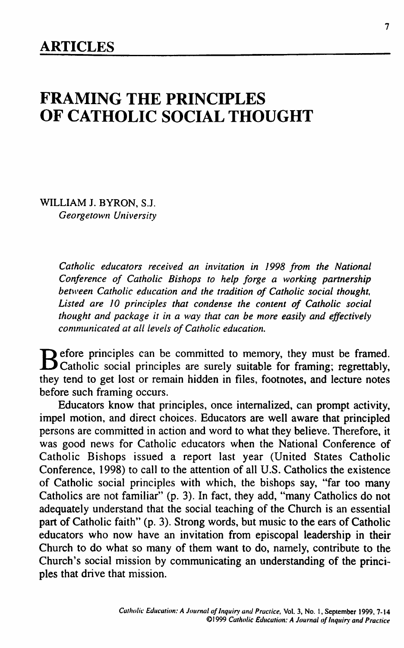# **FRAMING THE PRINCIPLES OF CATHOLIC SOCIAL THOUGHT**

**WILLIAM J. BYRON, S.J.** *Georgetown University*

> *Catholic educators received an invitation in 1998 from the National Conference of Catholic Bishops to help forge a working partnership* between Catholic education and the tradition of Catholic social thought, *Listed are 10 principles that condense the content of Catholic social thought and package it in a way that can be more easily and effectively communicated at all levels of Catholic education.*

Before principles can be committed to memory, they must be framed.<br>
Catholic social principles are surely suitable for framing; regrettably, **e** fore principles can be committed to memory, they must be framed. **they tend to get lost or remain hidden in files, footnotes, and lecture notes before such framing occurs.**

**Educators know that principles, once internalized, can prompt activity, impel motion, and direct choices. Educators are well aware that principled persons are committed in action and word to what they believe. Therefore, it was good news for Catholic educators when the National Conference of Catholic Bishops issued a report last year (United States Catholic Conference, 1998) to call to the attention of all U.S. Catholics the existence of Catholic social principles with which, the bishops say, "far too many Catholics are not familiar" (p. 3). In fact, they add, "many Catholics do not adequately understand that the social teaching of the Church is an essential part of Catholic faith" (p. 3). Strong words, but music to the ears of Catholic educators who now have an invitation from episcopal leadership in their Church to do what so many of them want to do, namely, contribute to the Church's social mission by communicating an understanding of the principles that drive that mission.**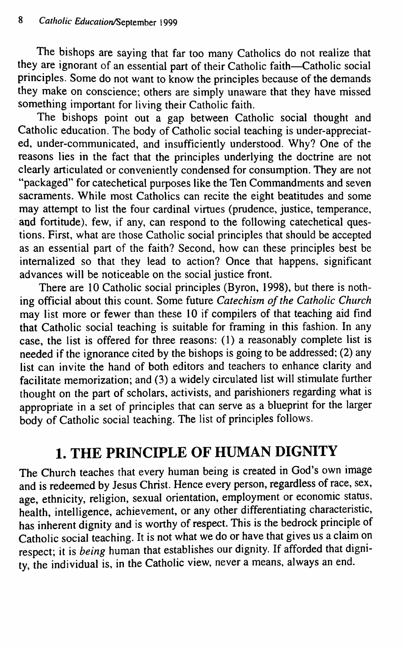**The bishops are saying that far too many Catholics do not realize that they are ignorant of an essential part of their Catholic faith—Catholic social principles. Some do not want to know the principles because of the demands they make on conscience; others are simply unaware that they have missed something important for living their Catholic faith.**

**The bishops point out a gap between Catholic social thought and Catholic education. The body of Catholic social teaching is under-appreciated, under-communicated, and insufficiently understood. Why? One of the reasons lies in the fact that the principles underlying the doctrine are not clearly articulated or conveniently condensed for consumption. They are not "packaged" for catechetical purposes like the Ten Commandments and seven sacraments. While most Catholics can recite the eight beatitudes and some may attempt to list the four cardinal virtues (prudence, justice, temperance, and fortitude), few, if any, can respond to the following catechetical questions. First, what are those Catholic social principles that should be accepted as an essential part of the faith? Second, how can these principles best be internalized so that they lead to action? Once that happens, significant advances will be noticeable on the social justice front.**

**There are 10 Catholic social principles (Byron, 1998), but there is nothing official about this count. Some future** *Catechism of the Catholic Church* **may list more or fewer than these 10 if compilers of that teaching aid find that Catholic social teaching is suitable for framing in this fashion. In any case, the list is offered for three reasons: (1) a reasonably complete list is needed if the ignorance cited by the bishops is going to be addressed; (2) any list can invite the hand of both editors and teachers to enhance clarity and facilitate memorization; and (3) a widely circulated list will stimulate further thought on the part of scholars, activists, and parishioners regarding what is appropriate in a set of principles that can serve as a blueprint for the larger body of Catholic social teaching. The list of principles follows.**

# **1. THE PRINCIPLE OF HUMAN DIGNITY**

**The Church teaches that every human being is created in God's own image and is redeemed by Jesus Christ. Hence every person, regardless of race, sex, age, ethnicity, religion, sexual orientation, employment or economic status, health, intelligence, achievement, or any other differentiating characteristic, has inherent dignity and is worthy of respect. This is the bedrock principle of Catholic social teaching. It is not what we do or have that gives us a claim on respect; it is** *being* **human that establishes our dignity. If afforded that dignity, the individual is, in the Catholic view, never a means, always an end.**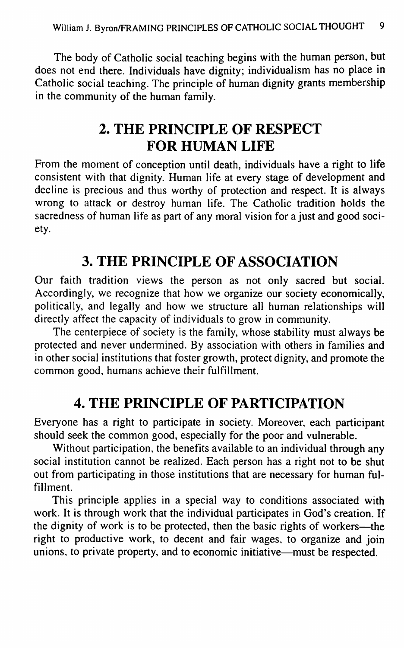**The body of Catholic social teaching begins with the human person, but does not end there. Individuals have dignity; individualism has no place in Catholic social teaching. The principle of human dignity grants membership in the community of the human family.**

#### **2. THE PRINCIPLE OF RESPECT FOR HUMAN LIFE**

**From the moment of conception until death, individuals have a right to life consistent with that dignity. Human life at every stage of development and decline is precious and thus worthy of protection and respect. It is always wrong to attack or destroy human life. The Catholic tradition holds the sacredness of human life as part of any moral vision for a just and good society.**

#### **3. THE PRINCIPLE OF ASSOCIATION**

**Our faith tradition views the person as not only sacred but social. Accordingly, we recognize that how we organize our society economically, politically, and legally and how we structure all human relationships will directly affect the capacity of individuals to grow in community.**

**The centerpiece of society is the family, whose stability must always be protected and never undermined. By association with others in families and in other social institutions that foster growth, protect dignity, and promote the common good, humans achieve their fulfillment.**

#### **4. THE PRINCIPLE OF PARTICIPATION**

**Everyone has a right to participate in society. Moreover, each participant should seek the common good, especially for the poor and vulnerable.**

**Without participation, the benefits available to an individual through any social institution cannot be realized. Each person has a right not to be shut out from participating in those institutions that are necessary for human fulfillment.**

**This principle applies in a special way to conditions associated with work. It is through work that the individual participates in God's creation. If the dignity of work is to be protected, then the basic rights of workers—the right to productive work, to decent and fair wages, to organize and join unions, to private property, and to economic initiative—must be respected.**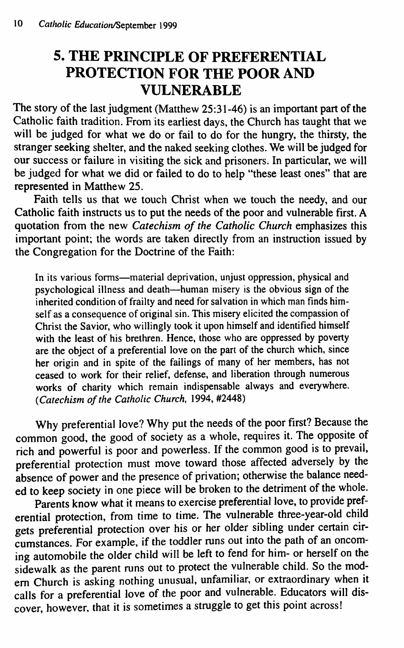#### **5. THE PRINCIPLE OF PREFERENTIAL PROTECTION FOR THE POOR AND VULNERABLE**

**The story of the last judgment (Matthew 25:31-46) is an important part of the Catholic faith tradition. From its earliest days, the Church has taught that we will be judged for what we do or fail to do for the hungry, the thirsty, the stranger seeking shelter, and the naked seeking clothes. We will be judged for our success or failure in visiting the sick and prisoners. In particular, we will be judged for what we did or failed to do to help "these least ones" that are represented in Matthew 25.**

**Faith tells us that we touch Christ when we touch the needy, and our Catholic faith instructs us to put the needs of the poor and vulnerable first. A quotation from the new** *Catechism, of the Catholic Church* **emphasizes this important point; the words are taken directly from an instmction issued by the Congregation for the Doctrine of the Faith:**

**In its various forms—material deprivation, unjust oppression, physical and psychological illness and death—human misery is the obvious sign of the** inherited condition of frailty and need for salvation in which man finds him**self as a consequence of original sin. This misery elicited the compassion of Christ the Savior, who willingly took it upon himself and identified himself with the least of his brethren. Hence, those who are oppressed by poverty are the object of a preferential love on the part of the church which, since her origin and in spite of the failings of many of her members, has not ceased to work for their relief, defense, and liberation through numerous works of charity which remain indispensable always and everywhere.** *(Catechism of the Catholic Church,* **1994, #2448)**

**Why preferential love? Why put the needs of the poor first? Because the common good, the good of society as a whole, requires it. The opposite of rich and powerful is poor and powerless. If the common good is to prevail, preferential protection must move toward those affected adversely by the absence of power and the presence of privation; otherwise the balance needed to keep society in one piece will be broken to the detriment of the whole.**

Parents know what it means to exercise preferential love, to provide pref**erential protection, from time to time. The vulnerable three-year-old child gets preferential protection over his or her older sibling under certain circumstances. For example, if the toddler runs out into the path of an oncoming automobile the older child will be left to fend for him- or herself on the sidewalk as the parent runs out to protect the vulnerable child. So the modem Church is asking nothing unusual, unfamiliar, or extraordinary when it calls for a preferential love of the poor and vulnerable. Educators will discover, however, that it is sometimes a struggle to get this point across!**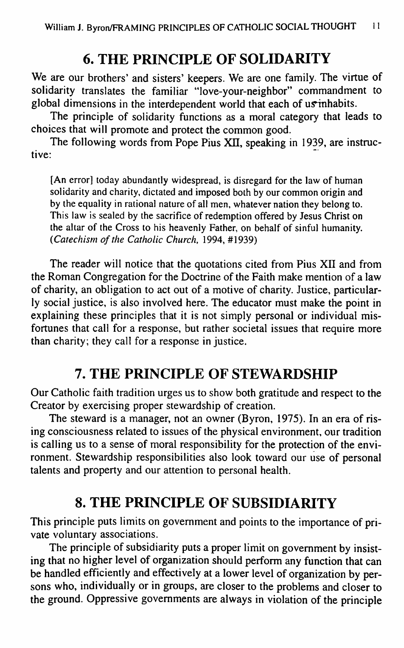# **6. THE PRINCIPLE OF SOLIDARITY**

**We are our brothers' and sisters' keepers. We are one family. The virtue of solidarity translates the familiar "love-your-neighbor" commandment to global dimensions in the interdependent world that each of us^nhabits.**

**The principle of solidarity functions as a moral category that leads to choices that will promote and protect the common good.**

The following words from Pope Pius XII, speaking in 1939, are instruc**tive:**

**[An error] today abundantly widespread, is disregard for the law of human solidarity and charity, dictated and imposed both by our common origin and by the equality in rational nature of all men, whatever nation they belong to. This law is sealed by the sacrifice of redemption offered by Jesus Christ on the altar of the Cross to his heavenly Father, on behalf of sinful humanity.** *{Catechism of the Catholic Church.* **1994, #1939)**

**The reader will notice that the quotations cited from Pius XII and from the Roman Congregation for the Doctrine of the Faith make mention of a law of charity, an obligation to act out of a motive of charity. Justice, particularly social justice, is also involved here. The educator must make the point in explaining these principles that it is not simply personal or individual misfortunes that call for a response, but rather societal issues that require more than charity; they call for a response in justice.**

### **7. THE PRINCIPLE OF STEWARDSHIP**

**Our Catholic faith tradition urges us to show both gratitude and respect to the Creator by exercising proper stewardship of creation.**

**The steward is a manager, not an owner (Byron, 1975). In an era of rising consciousness related to issues of the physical environment, our tradition is calling us to a sense of moral responsibility for the protection of the environment. Stewardship responsibilities also look toward our use of personal talents and property and our attention to personal health.**

### **8. THE PRINCIPLE OF SUBSIDIARITY**

**This principle puts limits on government and points to the importance of private voluntary associations.**

**The principle of subsidiarity puts a proper limit on government by insisting that no higher level of organization should perform any function that can be handled efficiently and effectively at a lower level of organization by persons who, individually or in groups, are closer to the problems and closer to the ground. Oppressive governments are always in violation of the principle**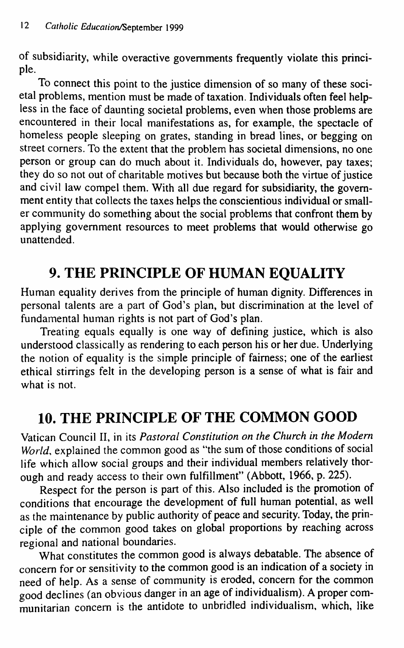**of subsidiarity, while overactive governments frequently violate this principle.**

**To connect this point to the justice dimension of so many of these societal problems, mention must be made of taxation. Individuals often feel helpless in the face of daunting societal problems, even when those problems are encountered in their local manifestations as, for example, the spectacle of homeless people sleeping on grates, standing in bread lines, or begging on street corners. To the extent that the problem has societal dimensions, no one person or group can do much about it. Individuals do, however, pay taxes; they do so not out of charitable motives but because both the virtue of justice and civil law compel them. With all due regard for subsidiarity, the govern**ment entity that collects the taxes helps the conscientious individual or small**er community do something about the social problems that confront them by applying government resources to meet problems that would otherwise go unattended.**

# **9. THE PRINCIPLE OF HUMAN EQUALITY**

**Human equality derives from the principle of human dignity. Differences in personal talents are a part of God's plan, but discrimination at the level of fundamental human rights is not part of God's plan.**

**Treating equals equally is one way of defining justice, which is also understood classically as rendering to each person his or her due. Underlying the notion of equality is the simple principle of fairness; one of the earliest ethical stirrings felt in the developing person is a sense of what is fair and what is not.**

# **10. THE PRINCIPLE OF THE COMMON GOOD**

**Vatican Council II, in its** *Pastoral Constitution on the Church in the Modem World,* **explained the common good as "the sum of those conditions of social life which allow social groups and their individual members relatively thorough and ready access to their own fulfillment" (Abbott, 1966, p. 225).**

**Respect for the person is part of this. Also included is the promotion of conditions that encourage the development of full human potential, as well as the maintenance by public authority of peace and security. Today, the principle of the common good takes on global proportions by reaching across regional and national boundaries.**

**What constitutes the common good is always debatable. The absence of concern for or sensitivity to the common good is an indication of a society in need of help. As a sense of community is eroded, concern for the common good declines (an obvious danger in an age of individualism). A proper communitarian concern is the antidote to unbridled individualism, which, like**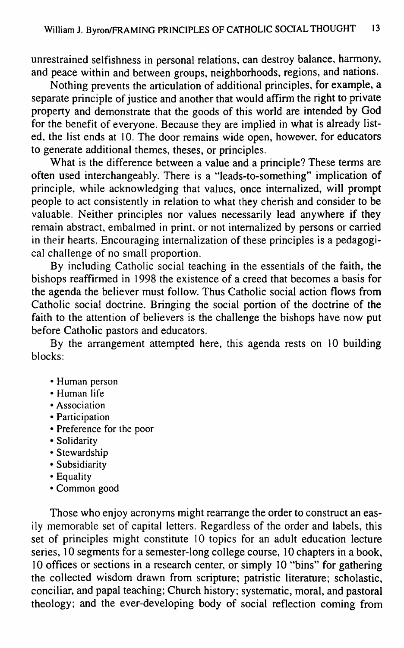**unrestrained selfishness in personal relations, can destroy balance, harmony, and peace within and between groups, neighborhoods, regions, and nations.**

**Nothing prevents the articulation of additional principles, for example, a separate principle of justice and another that would affirm the right to private property and demonstrate that the goods of this world are intended by God for the benefit of everyone. Because they are implied in what is already listed, the list ends at 10. The door remains wide open, however, for educators to generate additional themes, theses, or principles.**

**What is the difference between a value and a principle? These terms are often used interchangeably. There is a "leads-to-something" implication of principle, while acknowledging that values, once internalized, will prompt people to act consistently in relation to what they cherish and consider to be valuable. Neither principles nor values necessarily lead anywhere if they remain abstract, embalmed in print, or not internalized by persons or carried in their hearts. Encouraging intemalization of these principles is a pedagogical challenge of no small proportion.**

**By including Catholic social teaching in the essentials of the faith, the bishops reaffirmed in 1998 the existence of a creed that becomes a basis for the agenda the believer must follow. Thus Catholic social action flows from Catholic social doctrine. Bringing the social portion of the doctrine of the faith to the attention of believers is the challenge the bishops have now put before Catholic pastors and educators.**

**By the arrangement attempted here, this agenda rests on 10 building blocks:**

- **Human person**
- **Human life**
- **Association**
- **Participation**
- **Preference for the poor**
- **Solidarity**
- **Stewardship**
- **Subsidiarity**
- **Equality**
- **Common good**

**Those who enjoy acronyms might rearrange the order to construct an easily memorable set of capital letters. Regardless of the order and labels, this set of principles might constitute 10 topics for an adult education lecture series, 10 segments for a semester-long college course, 10 chapters in a book, 10 offices or sections in a research center, or simply 10 "bins" for gathering the collected wisdom drawn from scripture; patristic literature; scholastic, conciliar, and papal teaching; Church history; systematic, moral, and pastoral theology; and the ever-developing body of social reflection coming from**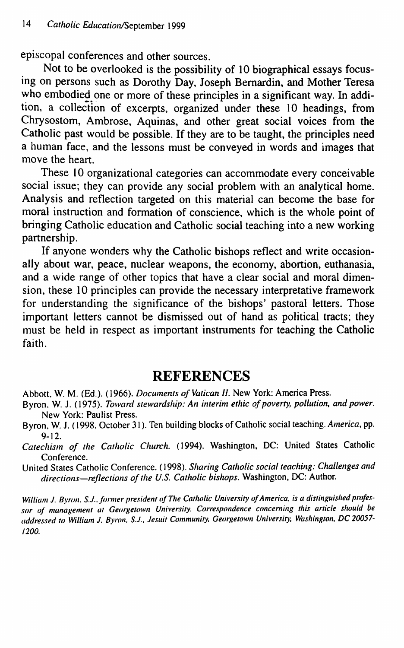**episcopal conferences and other sources.**

**Not to be overlooked is the possibility of 10 biographical essays focusing on persons such as Dorothy Day, Joseph Bemardin, and Mother Teresa who embodied one or more of these principles in a significant way. In addition, a collection of excerpts, organized under these 10 headings, from Chrysostom, Ambrose, Aquinas, and other great social voices from the Catholic past would be possible. If they are to be taught, the principles need a human face, and the lessons must be conveyed in words and images that move the heart.**

**These 10 organizational categories can accommodate every conceivable social issue; they can provide any social problem with an analytical home. Analysis and reflection targeted on this material can become the base for moral instruction and formation of conscience, which is the whole point of bringing Catholic education and Catholic social teaching into a new working partnership.**

**If anyone wonders why the Catholic bishops reflect and write occasionally about war, peace, nuclear weapons, the economy, abortion, euthanasia, and a wide range of other topics that have a clear social and moral dimension, these 10 principles can provide the necessary interpretative framework for understanding the significance of the bishops' pastoral letters. Those important letters cannot be dismissed out of hand as political tracts; they must be held in respect as important instruments for teaching the Catholic faith.**

#### REFERENCES

Abbott, W. M. (Ed.). (1966). *Documents of Vatican II.* New York: America Press.

- Byron, W. J. (1975). *Toward stewardship: An interim ethic of poverty, pollution, and power.* New York: Paulist Press.
- Byron, W. J. (1998, October 31). Ten building blocks of Catholic social teaching. *America,* pp. 9-12.
- *Catechism of the Catholic Church.* (1994). Washington. DC: United States Catholic Conference.

United States Catholic Conference. (1998). *Sharing Catholic social teaching: Challenges and directions—reflections of the U.S. Catholic bishops.* Washington, DC: Author.

*William J. Byron, S.J., former president of The Catholic University of America, is a distinguished professor of management at Georgetown University. Corre.spondence concerning this article should be addres.sed to William J. Byron, S.J., Jesuit Community, Georgetown University, Washington, DC 20057- 1200.*